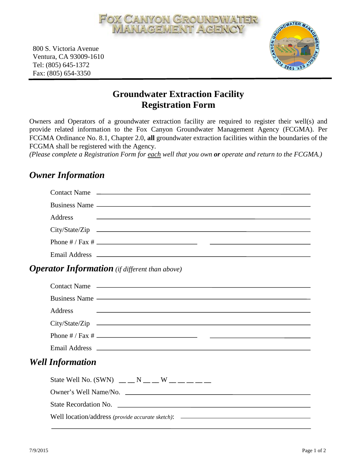

800 S. Victoria Avenue Ventura, CA 93009-1610 Tel: (805) 645-1372 Fax: (805) 654-3350



## **Groundwater Extraction Facility Registration Form**

Owners and Operators of a groundwater extraction facility are required to register their well(s) and provide related information to the Fox Canyon Groundwater Management Agency (FCGMA). Per FCGMA Ordinance No. 8.1, Chapter 2.0, **all** groundwater extraction facilities within the boundaries of the FCGMA shall be registered with the Agency.

*(Please complete a Registration Form for each well that you own or operate and return to the FCGMA.)*

## *Owner Information*

|                                                       | Contact Name                                                                                                                                                                                                                   |  |  |
|-------------------------------------------------------|--------------------------------------------------------------------------------------------------------------------------------------------------------------------------------------------------------------------------------|--|--|
|                                                       |                                                                                                                                                                                                                                |  |  |
|                                                       | Address<br><u> 1980 - Jan Barat da Barat da Barat da Barat da Barat da Barat da Barat da Barat da Barat da Barat da Barat d</u>                                                                                                |  |  |
|                                                       |                                                                                                                                                                                                                                |  |  |
|                                                       |                                                                                                                                                                                                                                |  |  |
|                                                       |                                                                                                                                                                                                                                |  |  |
| <b>Operator Information</b> (if different than above) |                                                                                                                                                                                                                                |  |  |
|                                                       | Contact Name                                                                                                                                                                                                                   |  |  |
|                                                       | Business Name experience and the service of the service of the service of the service of the service of the service of the service of the service of the service of the service of the service of the service of the service o |  |  |
|                                                       | <b>Address</b><br>and the contract of the contract of the contract of the contract of the contract of the contract of the contract of                                                                                          |  |  |
|                                                       |                                                                                                                                                                                                                                |  |  |
|                                                       |                                                                                                                                                                                                                                |  |  |
|                                                       | Email Address <b>Email Address</b>                                                                                                                                                                                             |  |  |
| <b>Well Information</b>                               |                                                                                                                                                                                                                                |  |  |
|                                                       | State Well No. (SWN) $\_\_N \_\_N \_\_W$ W $\_\_$                                                                                                                                                                              |  |  |
|                                                       |                                                                                                                                                                                                                                |  |  |
|                                                       |                                                                                                                                                                                                                                |  |  |
|                                                       | Well location/address (provide accurate sketch): _______________________________                                                                                                                                               |  |  |
|                                                       |                                                                                                                                                                                                                                |  |  |